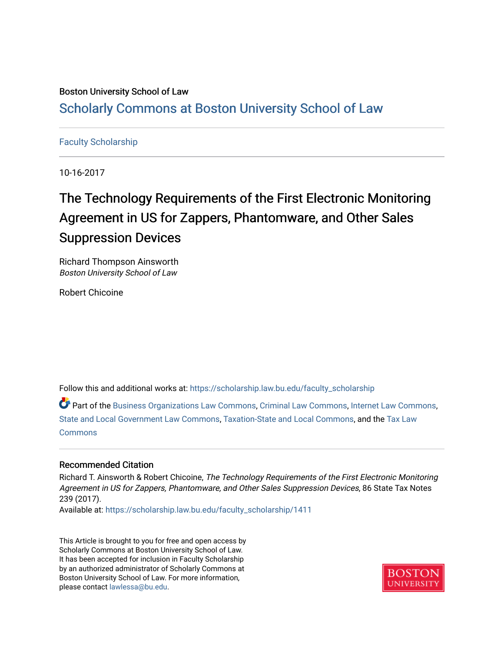### Boston University School of Law [Scholarly Commons at Boston University School of Law](https://scholarship.law.bu.edu/)

#### [Faculty Scholarship](https://scholarship.law.bu.edu/faculty_scholarship)

10-16-2017

## The Technology Requirements of the First Electronic Monitoring Agreement in US for Zappers, Phantomware, and Other Sales Suppression Devices

Richard Thompson Ainsworth Boston University School of Law

Robert Chicoine

Follow this and additional works at: [https://scholarship.law.bu.edu/faculty\\_scholarship](https://scholarship.law.bu.edu/faculty_scholarship?utm_source=scholarship.law.bu.edu%2Ffaculty_scholarship%2F1411&utm_medium=PDF&utm_campaign=PDFCoverPages)

Part of the [Business Organizations Law Commons](http://network.bepress.com/hgg/discipline/900?utm_source=scholarship.law.bu.edu%2Ffaculty_scholarship%2F1411&utm_medium=PDF&utm_campaign=PDFCoverPages), [Criminal Law Commons,](http://network.bepress.com/hgg/discipline/912?utm_source=scholarship.law.bu.edu%2Ffaculty_scholarship%2F1411&utm_medium=PDF&utm_campaign=PDFCoverPages) [Internet Law Commons](http://network.bepress.com/hgg/discipline/892?utm_source=scholarship.law.bu.edu%2Ffaculty_scholarship%2F1411&utm_medium=PDF&utm_campaign=PDFCoverPages), [State and Local Government Law Commons](http://network.bepress.com/hgg/discipline/879?utm_source=scholarship.law.bu.edu%2Ffaculty_scholarship%2F1411&utm_medium=PDF&utm_campaign=PDFCoverPages), [Taxation-State and Local Commons,](http://network.bepress.com/hgg/discipline/882?utm_source=scholarship.law.bu.edu%2Ffaculty_scholarship%2F1411&utm_medium=PDF&utm_campaign=PDFCoverPages) and the [Tax Law](http://network.bepress.com/hgg/discipline/898?utm_source=scholarship.law.bu.edu%2Ffaculty_scholarship%2F1411&utm_medium=PDF&utm_campaign=PDFCoverPages)  [Commons](http://network.bepress.com/hgg/discipline/898?utm_source=scholarship.law.bu.edu%2Ffaculty_scholarship%2F1411&utm_medium=PDF&utm_campaign=PDFCoverPages)

#### Recommended Citation

Richard T. Ainsworth & Robert Chicoine, The Technology Requirements of the First Electronic Monitoring Agreement in US for Zappers, Phantomware, and Other Sales Suppression Devices, 86 State Tax Notes 239 (2017).

Available at: [https://scholarship.law.bu.edu/faculty\\_scholarship/1411](https://scholarship.law.bu.edu/faculty_scholarship/1411?utm_source=scholarship.law.bu.edu%2Ffaculty_scholarship%2F1411&utm_medium=PDF&utm_campaign=PDFCoverPages)

This Article is brought to you for free and open access by Scholarly Commons at Boston University School of Law. It has been accepted for inclusion in Faculty Scholarship by an authorized administrator of Scholarly Commons at Boston University School of Law. For more information, please contact [lawlessa@bu.edu](mailto:lawlessa@bu.edu).

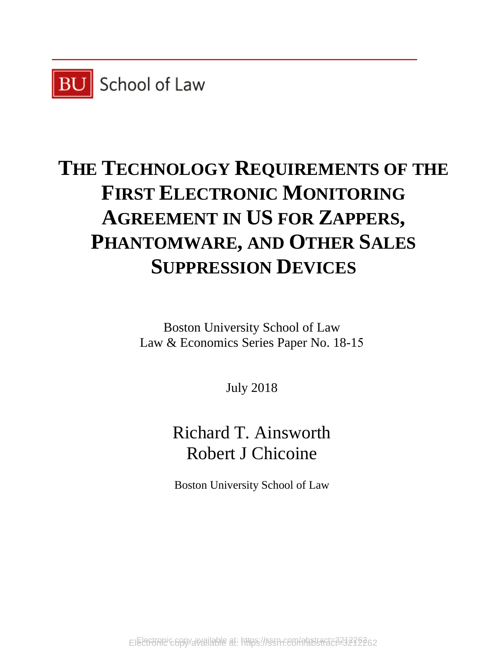

# **THE TECHNOLOGY REQUIREMENTS OF THE FIRST ELECTRONIC MONITORING AGREEMENT IN US FOR ZAPPERS, PHANTOMWARE, AND OTHER SALES SUPPRESSION DEVICES**

Boston University School of Law Law & Economics Series Paper No. 18-15

July 2018

Richard T. Ainsworth Robert J Chicoine

Boston University School of Law

Electronic copy available at: https://ssrn.com/abstract=3212262 Electronic copy available at: https://ssrn.com/abstract=3212262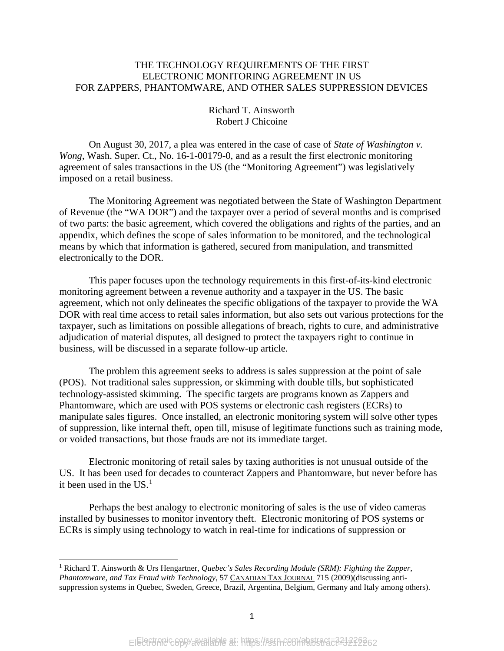#### THE TECHNOLOGY REQUIREMENTS OF THE FIRST ELECTRONIC MONITORING AGREEMENT IN US FOR ZAPPERS, PHANTOMWARE, AND OTHER SALES SUPPRESSION DEVICES

Richard T. Ainsworth Robert J Chicoine

On August 30, 2017, a plea was entered in the case of case of *State of Washington v. Wong*, Wash. Super. Ct., No. 16-1-00179-0, and as a result the first electronic monitoring agreement of sales transactions in the US (the "Monitoring Agreement") was legislatively imposed on a retail business.

The Monitoring Agreement was negotiated between the State of Washington Department of Revenue (the "WA DOR") and the taxpayer over a period of several months and is comprised of two parts: the basic agreement, which covered the obligations and rights of the parties, and an appendix, which defines the scope of sales information to be monitored, and the technological means by which that information is gathered, secured from manipulation, and transmitted electronically to the DOR.

This paper focuses upon the technology requirements in this first-of-its-kind electronic monitoring agreement between a revenue authority and a taxpayer in the US. The basic agreement, which not only delineates the specific obligations of the taxpayer to provide the WA DOR with real time access to retail sales information, but also sets out various protections for the taxpayer, such as limitations on possible allegations of breach, rights to cure, and administrative adjudication of material disputes, all designed to protect the taxpayers right to continue in business, will be discussed in a separate follow-up article.

The problem this agreement seeks to address is sales suppression at the point of sale (POS). Not traditional sales suppression, or skimming with double tills, but sophisticated technology-assisted skimming. The specific targets are programs known as Zappers and Phantomware, which are used with POS systems or electronic cash registers (ECRs) to manipulate sales figures. Once installed, an electronic monitoring system will solve other types of suppression, like internal theft, open till, misuse of legitimate functions such as training mode, or voided transactions, but those frauds are not its immediate target.

Electronic monitoring of retail sales by taxing authorities is not unusual outside of the US. It has been used for decades to counteract Zappers and Phantomware, but never before has it been used in the US. [1](#page-2-0)

Perhaps the best analogy to electronic monitoring of sales is the use of video cameras installed by businesses to monitor inventory theft. Electronic monitoring of POS systems or ECRs is simply using technology to watch in real-time for indications of suppression or

l

<span id="page-2-0"></span><sup>1</sup> Richard T. Ainsworth & Urs Hengartner, *Quebec's Sales Recording Module (SRM): Fighting the Zapper, Phantomware, and Tax Fraud with Technology*, 57 CANADIAN TAX JOURNAL 715 (2009)(discussing antisuppression systems in Quebec, Sweden, Greece, Brazil, Argentina, Belgium, Germany and Italy among others).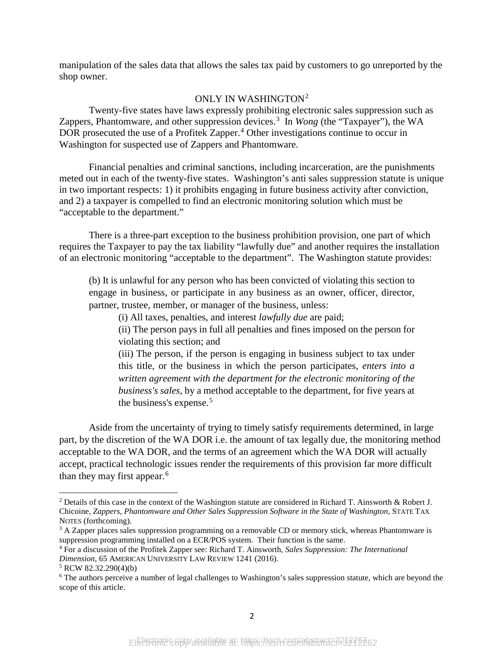manipulation of the sales data that allows the sales tax paid by customers to go unreported by the shop owner.

#### ONLY IN WASHINGTON<sup>[2](#page-3-0)</sup>

Twenty-five states have laws expressly prohibiting electronic sales suppression such as Zappers, Phantomware, and other suppression devices. [3](#page-3-1) In *Wong* (the "Taxpayer"), the WA DOR prosecuted the use of a Profitek Zapper.<sup>[4](#page-3-2)</sup> Other investigations continue to occur in Washington for suspected use of Zappers and Phantomware.

Financial penalties and criminal sanctions, including incarceration, are the punishments meted out in each of the twenty-five states. Washington's anti sales suppression statute is unique in two important respects: 1) it prohibits engaging in future business activity after conviction, and 2) a taxpayer is compelled to find an electronic monitoring solution which must be "acceptable to the department."

There is a three-part exception to the business prohibition provision, one part of which requires the Taxpayer to pay the tax liability "lawfully due" and another requires the installation of an electronic monitoring "acceptable to the department". The Washington statute provides:

(b) It is unlawful for any person who has been convicted of violating this section to engage in business, or participate in any business as an owner, officer, director, partner, trustee, member, or manager of the business, unless:

(i) All taxes, penalties, and interest *lawfully due* are paid;

(ii) The person pays in full all penalties and fines imposed on the person for violating this section; and

(iii) The person, if the person is engaging in business subject to tax under this title, or the business in which the person participates, *enters into a written agreement with the department for the electronic monitoring of the business's sales*, by a method acceptable to the department, for five years at the business's expense.<sup>[5](#page-3-3)</sup>

Aside from the uncertainty of trying to timely satisfy requirements determined, in large part, by the discretion of the WA DOR i.e. the amount of tax legally due, the monitoring method acceptable to the WA DOR, and the terms of an agreement which the WA DOR will actually accept, practical technologic issues render the requirements of this provision far more difficult than they may first appear.<sup>[6](#page-3-4)</sup>

l

<span id="page-3-0"></span><sup>2</sup> Details of this case in the context of the Washington statute are considered in Richard T. Ainsworth & Robert J. Chicoine, *Zappers, Phantomware and Other Sales Suppression Software in the State of Washington,* STATE TAX NOTES (forthcoming).<br><sup>3</sup> A Zapper places sales suppression programming on a removable CD or memory stick, whereas Phantomware is

<span id="page-3-1"></span>suppression programming installed on a ECR/POS system. Their function is the same.

<span id="page-3-2"></span><sup>4</sup> For a discussion of the Profitek Zapper see: Richard T. Ainsworth, *Sales Suppression: The International Dimension*, 65 AMERICAN UNIVERSITY LAW REVIEW 1241 (2016).

<span id="page-3-3"></span><sup>5</sup> RCW 82.32.290(4)(b)

<span id="page-3-4"></span><sup>6</sup> The authors perceive a number of legal challenges to Washington's sales suppression statute, which are beyond the scope of this article.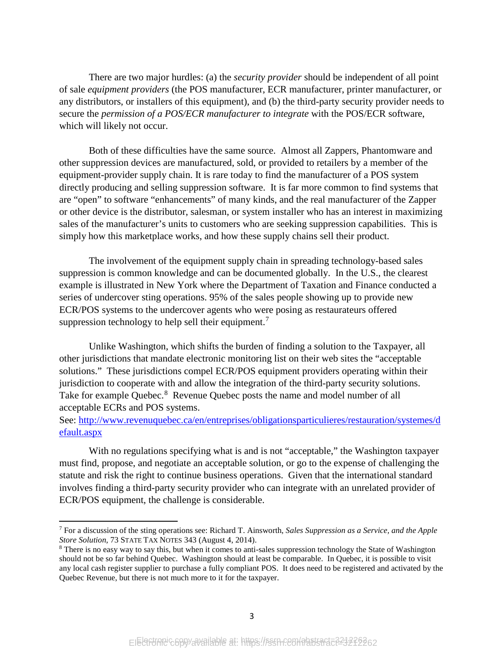There are two major hurdles: (a) the *security provider* should be independent of all point of sale *equipment providers* (the POS manufacturer, ECR manufacturer, printer manufacturer, or any distributors, or installers of this equipment), and (b) the third-party security provider needs to secure the *permission of a POS/ECR manufacturer to integrate* with the POS/ECR software, which will likely not occur.

Both of these difficulties have the same source. Almost all Zappers, Phantomware and other suppression devices are manufactured, sold, or provided to retailers by a member of the equipment-provider supply chain. It is rare today to find the manufacturer of a POS system directly producing and selling suppression software. It is far more common to find systems that are "open" to software "enhancements" of many kinds, and the real manufacturer of the Zapper or other device is the distributor, salesman, or system installer who has an interest in maximizing sales of the manufacturer's units to customers who are seeking suppression capabilities. This is simply how this marketplace works, and how these supply chains sell their product.

The involvement of the equipment supply chain in spreading technology-based sales suppression is common knowledge and can be documented globally. In the U.S., the clearest example is illustrated in New York where the Department of Taxation and Finance conducted a series of undercover sting operations. 95% of the sales people showing up to provide new ECR/POS systems to the undercover agents who were posing as restaurateurs offered suppression technology to help sell their equipment.<sup>[7](#page-4-0)</sup>

Unlike Washington, which shifts the burden of finding a solution to the Taxpayer, all other jurisdictions that mandate electronic monitoring list on their web sites the "acceptable solutions." These jurisdictions compel ECR/POS equipment providers operating within their jurisdiction to cooperate with and allow the integration of the third-party security solutions. Take for example Quebec.<sup>[8](#page-4-1)</sup> Revenue Quebec posts the name and model number of all acceptable ECRs and POS systems.

#### See: [http://www.revenuquebec.ca/en/entreprises/obligationsparticulieres/restauration/systemes/d](http://www.revenuquebec.ca/en/entreprises/obligationsparticulieres/restauration/systemes/default.aspx) [efault.aspx](http://www.revenuquebec.ca/en/entreprises/obligationsparticulieres/restauration/systemes/default.aspx)

With no regulations specifying what is and is not "acceptable," the Washington taxpayer must find, propose, and negotiate an acceptable solution, or go to the expense of challenging the statute and risk the right to continue business operations. Given that the international standard involves finding a third-party security provider who can integrate with an unrelated provider of ECR/POS equipment, the challenge is considerable.

l

<span id="page-4-0"></span><sup>7</sup> For a discussion of the sting operations see: Richard T. Ainsworth, *Sales Suppression as a Service, and the Apple Store Solution*, 73 STATE TAX NOTES 343 (August 4, 2014).<br><sup>8</sup> There is no easy way to say this, but when it comes to anti-sales suppression technology the State of Washington

<span id="page-4-1"></span>should not be so far behind Quebec. Washington should at least be comparable. In Quebec, it is possible to visit any local cash register supplier to purchase a fully compliant POS. It does need to be registered and activated by the Quebec Revenue, but there is not much more to it for the taxpayer.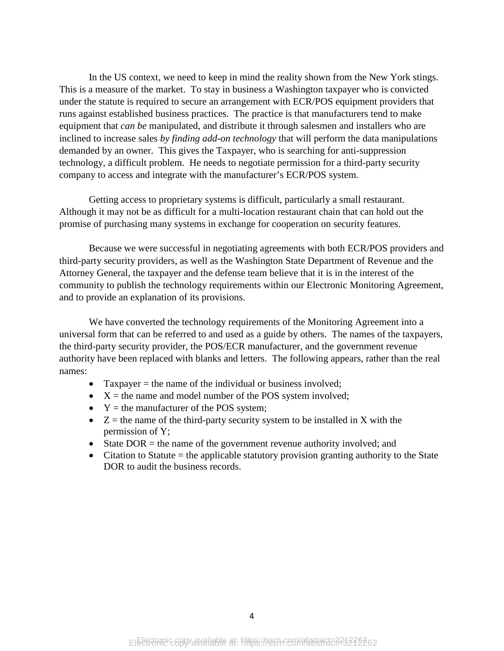In the US context, we need to keep in mind the reality shown from the New York stings. This is a measure of the market. To stay in business a Washington taxpayer who is convicted under the statute is required to secure an arrangement with ECR/POS equipment providers that runs against established business practices. The practice is that manufacturers tend to make equipment that *can be* manipulated, and distribute it through salesmen and installers who are inclined to increase sales *by finding add-on technology* that will perform the data manipulations demanded by an owner. This gives the Taxpayer, who is searching for anti-suppression technology, a difficult problem. He needs to negotiate permission for a third-party security company to access and integrate with the manufacturer's ECR/POS system.

Getting access to proprietary systems is difficult, particularly a small restaurant. Although it may not be as difficult for a multi-location restaurant chain that can hold out the promise of purchasing many systems in exchange for cooperation on security features.

Because we were successful in negotiating agreements with both ECR/POS providers and third-party security providers, as well as the Washington State Department of Revenue and the Attorney General, the taxpayer and the defense team believe that it is in the interest of the community to publish the technology requirements within our Electronic Monitoring Agreement, and to provide an explanation of its provisions.

We have converted the technology requirements of the Monitoring Agreement into a universal form that can be referred to and used as a guide by others. The names of the taxpayers, the third-party security provider, the POS/ECR manufacturer, and the government revenue authority have been replaced with blanks and letters. The following appears, rather than the real names:

- Taxpayer  $=$  the name of the individual or business involved;
- $X =$  the name and model number of the POS system involved;
- $Y =$  the manufacturer of the POS system;
- $Z =$  the name of the third-party security system to be installed in X with the permission of Y;
- State  $DOR =$  the name of the government revenue authority involved; and
- Citation to Statute = the applicable statutory provision granting authority to the State DOR to audit the business records.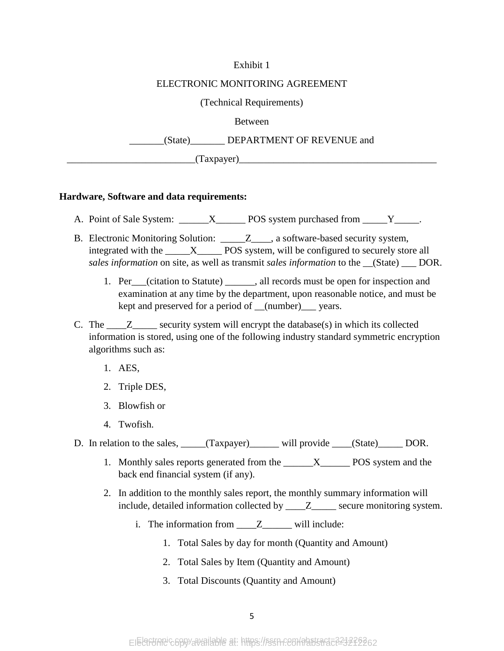#### Exhibit 1

#### ELECTRONIC MONITORING AGREEMENT

(Technical Requirements)

#### Between

\_\_\_\_\_\_\_(State)\_\_\_\_\_\_\_ DEPARTMENT OF REVENUE and

 $(Taxpayer)$ 

#### **Hardware, Software and data requirements:**

A. Point of Sale System: \_\_\_\_\_\_X\_\_\_\_\_\_\_\_ POS system purchased from \_\_\_\_\_Y\_\_\_\_\_.

- B. Electronic Monitoring Solution: \_\_\_\_\_Z\_\_\_, a software-based security system, integrated with the  $\frac{X}{X}$  POS system, will be configured to securely store all *sales information* on site, as well as transmit *sales information* to the \_\_(State) \_\_\_ DOR.
	- 1. Per\_\_\_(citation to Statute) \_\_\_\_\_\_, all records must be open for inspection and examination at any time by the department, upon reasonable notice, and must be kept and preserved for a period of \_\_(number)\_\_\_ years.
- C. The  $\mathbb{Z}$  security system will encrypt the database(s) in which its collected information is stored, using one of the following industry standard symmetric encryption algorithms such as:
	- 1. AES,
	- 2. Triple DES,
	- 3. Blowfish or
	- 4. Twofish.

D. In relation to the sales, \_\_\_\_\_(Taxpayer) will provide \_\_\_\_(State) \_\_\_\_\_ DOR.

- 1. Monthly sales reports generated from the \_\_\_\_\_\_X\_\_\_\_\_\_ POS system and the back end financial system (if any).
- 2. In addition to the monthly sales report, the monthly summary information will include, detailed information collected by \_\_\_\_Z\_\_\_\_\_ secure monitoring system.
	- i. The information from \_\_\_\_Z\_\_\_\_\_\_ will include:
		- 1. Total Sales by day for month (Quantity and Amount)
		- 2. Total Sales by Item (Quantity and Amount)
		- 3. Total Discounts (Quantity and Amount)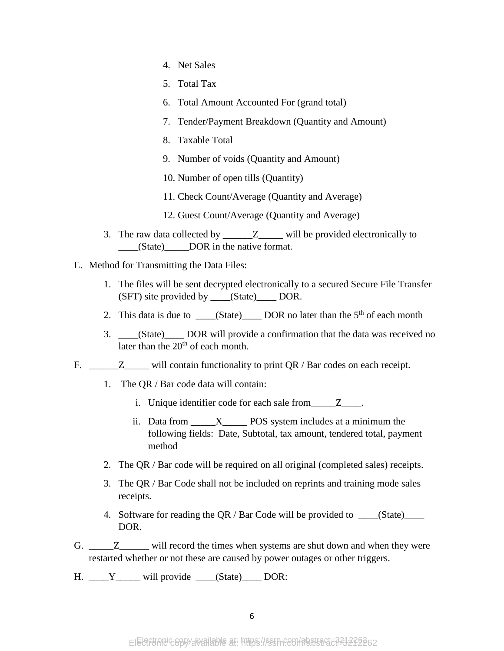- 4. Net Sales
- 5. Total Tax
- 6. Total Amount Accounted For (grand total)
- 7. Tender/Payment Breakdown (Quantity and Amount)
- 8. Taxable Total
- 9. Number of voids (Quantity and Amount)
- 10. Number of open tills (Quantity)
- 11. Check Count/Average (Quantity and Average)
- 12. Guest Count/Average (Quantity and Average)
- 3. The raw data collected by  $\qquad \qquad Z \qquad$  will be provided electronically to \_\_\_\_(State)\_\_\_\_\_DOR in the native format.
- E. Method for Transmitting the Data Files:
	- 1. The files will be sent decrypted electronically to a secured Secure File Transfer (SFT) site provided by \_\_\_\_(State)\_\_\_\_ DOR.
	- 2. This data is due to  $\underline{\hspace{1cm}}$  (State) DOR no later than the 5<sup>th</sup> of each month
	- 3. \_\_\_\_(State)\_\_\_\_ DOR will provide a confirmation that the data was received no later than the  $20<sup>th</sup>$  of each month.
- F.  $Z$  will contain functionality to print QR / Bar codes on each receipt.
	- 1. The QR / Bar code data will contain:
		- i. Unique identifier code for each sale from Z.
		- ii. Data from  $X$  POS system includes at a minimum the following fields: Date, Subtotal, tax amount, tendered total, payment method
	- 2. The QR / Bar code will be required on all original (completed sales) receipts.
	- 3. The QR / Bar Code shall not be included on reprints and training mode sales receipts.
	- 4. Software for reading the QR / Bar Code will be provided to \_\_\_\_(State)\_\_\_\_ DOR.
- G. \_\_\_\_\_\_\_\_\_\_\_\_\_\_\_\_\_ will record the times when systems are shut down and when they were restarted whether or not these are caused by power outages or other triggers.
- H. \_\_\_\_Y\_\_\_\_\_ will provide \_\_\_\_(State)\_\_\_\_ DOR: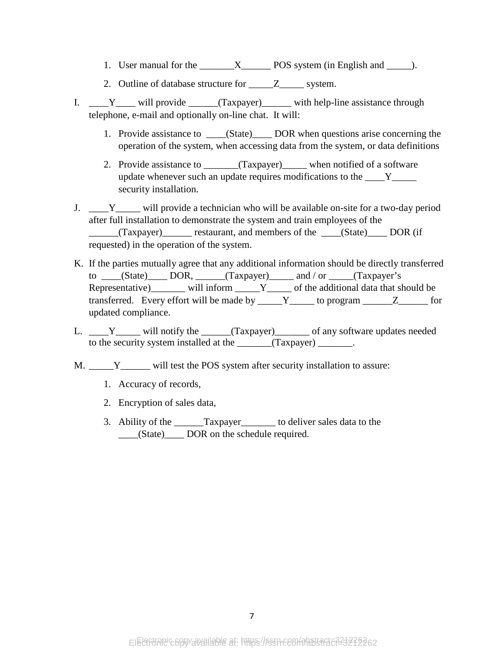- 1. User manual for the \_\_\_\_\_\_\_X\_\_\_\_\_\_ POS system (in English and \_\_\_\_\_).
- 2. Outline of database structure for \_\_\_\_\_\_Z\_\_\_\_\_\_ system.
- I.  $Y_{\text{max}}$  will provide  $(Taxpayer)$  with help-line assistance through telephone, e-mail and optionally on-line chat. It will:
	- 1. Provide assistance to \_\_\_\_(State)\_\_\_\_ DOR when questions arise concerning the operation of the system, when accessing data from the system, or data definitions
	- 2. Provide assistance to \_\_\_\_\_\_(Taxpayer) when notified of a software update whenever such an update requires modifications to the Y security installation.
- J.  $Y_{\text{unit}}$  will provide a technician who will be available on-site for a two-day period after full installation to demonstrate the system and train employees of the \_\_\_\_\_\_(Taxpayer)\_\_\_\_\_\_ restaurant, and members of the \_\_\_\_(State)\_\_\_\_ DOR (if requested) in the operation of the system.
- K. If the parties mutually agree that any additional information should be directly transferred to  $\underline{\hspace{1cm}}$  (State) DOR,  $\underline{\hspace{1cm}}$  (Taxpayer) and / or  $\underline{\hspace{1cm}}$  (Taxpayer's Representative)\_\_\_\_\_\_\_ will inform \_\_\_\_\_Y\_\_\_\_\_ of the additional data that should be transferred. Every effort will be made by  $\qquad Y$  to program  $\qquad Z$  for updated compliance.
- L. \_\_\_\_Y\_\_\_\_\_ will notify the \_\_\_\_\_(Taxpayer)\_\_\_\_\_\_\_ of any software updates needed to the security system installed at the \_\_\_\_\_\_\_(Taxpayer) \_\_\_\_\_\_\_.
- M. \_\_\_\_\_Y\_\_\_\_\_\_ will test the POS system after security installation to assure:
	- 1. Accuracy of records,
	- 2. Encryption of sales data,
	- 3. Ability of the \_\_\_\_\_\_Taxpayer\_\_\_\_\_\_\_ to deliver sales data to the \_\_\_\_(State)\_\_\_\_ DOR on the schedule required.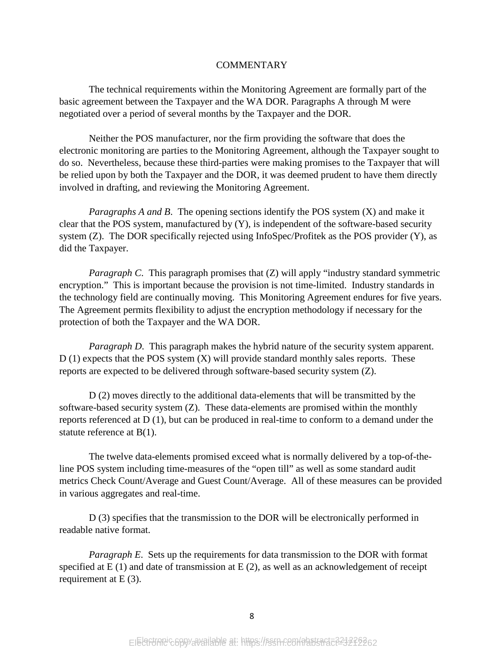#### **COMMENTARY**

The technical requirements within the Monitoring Agreement are formally part of the basic agreement between the Taxpayer and the WA DOR. Paragraphs A through M were negotiated over a period of several months by the Taxpayer and the DOR.

Neither the POS manufacturer, nor the firm providing the software that does the electronic monitoring are parties to the Monitoring Agreement, although the Taxpayer sought to do so. Nevertheless, because these third-parties were making promises to the Taxpayer that will be relied upon by both the Taxpayer and the DOR, it was deemed prudent to have them directly involved in drafting, and reviewing the Monitoring Agreement.

*Paragraphs A and B*. The opening sections identify the POS system (X) and make it clear that the POS system, manufactured by (Y), is independent of the software-based security system (Z). The DOR specifically rejected using InfoSpec/Profitek as the POS provider (Y), as did the Taxpayer.

*Paragraph C*. This paragraph promises that (Z) will apply "industry standard symmetric encryption." This is important because the provision is not time-limited. Industry standards in the technology field are continually moving. This Monitoring Agreement endures for five years. The Agreement permits flexibility to adjust the encryption methodology if necessary for the protection of both the Taxpayer and the WA DOR.

*Paragraph D.* This paragraph makes the hybrid nature of the security system apparent. D (1) expects that the POS system (X) will provide standard monthly sales reports. These reports are expected to be delivered through software-based security system (Z).

D (2) moves directly to the additional data-elements that will be transmitted by the software-based security system (Z). These data-elements are promised within the monthly reports referenced at D (1), but can be produced in real-time to conform to a demand under the statute reference at B(1).

The twelve data-elements promised exceed what is normally delivered by a top-of-theline POS system including time-measures of the "open till" as well as some standard audit metrics Check Count/Average and Guest Count/Average. All of these measures can be provided in various aggregates and real-time.

D (3) specifies that the transmission to the DOR will be electronically performed in readable native format.

*Paragraph E*. Sets up the requirements for data transmission to the DOR with format specified at  $E(1)$  and date of transmission at  $E(2)$ , as well as an acknowledgement of receipt requirement at E (3).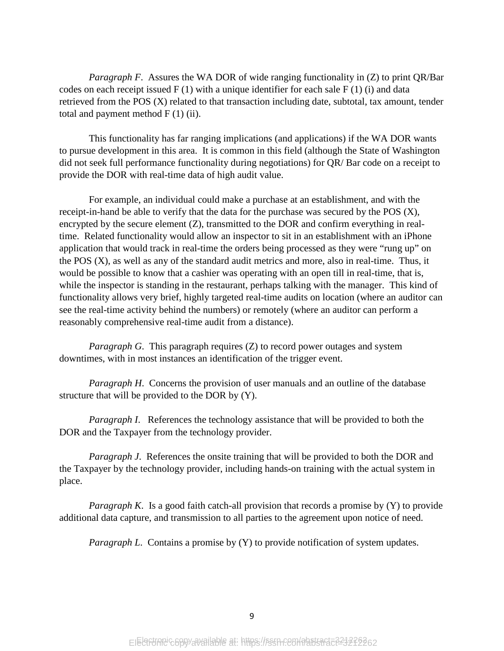*Paragraph F.* Assures the WA DOR of wide ranging functionality in (Z) to print QR/Bar codes on each receipt issued  $F(1)$  with a unique identifier for each sale  $F(1)$  (i) and data retrieved from the POS (X) related to that transaction including date, subtotal, tax amount, tender total and payment method  $F(1)$  (ii).

This functionality has far ranging implications (and applications) if the WA DOR wants to pursue development in this area. It is common in this field (although the State of Washington did not seek full performance functionality during negotiations) for QR/ Bar code on a receipt to provide the DOR with real-time data of high audit value.

For example, an individual could make a purchase at an establishment, and with the receipt-in-hand be able to verify that the data for the purchase was secured by the POS (X), encrypted by the secure element (Z), transmitted to the DOR and confirm everything in realtime. Related functionality would allow an inspector to sit in an establishment with an iPhone application that would track in real-time the orders being processed as they were "rung up" on the POS (X), as well as any of the standard audit metrics and more, also in real-time. Thus, it would be possible to know that a cashier was operating with an open till in real-time, that is, while the inspector is standing in the restaurant, perhaps talking with the manager. This kind of functionality allows very brief, highly targeted real-time audits on location (where an auditor can see the real-time activity behind the numbers) or remotely (where an auditor can perform a reasonably comprehensive real-time audit from a distance).

*Paragraph G*. This paragraph requires (Z) to record power outages and system downtimes, with in most instances an identification of the trigger event.

*Paragraph H*. Concerns the provision of user manuals and an outline of the database structure that will be provided to the DOR by (Y).

*Paragraph I*. References the technology assistance that will be provided to both the DOR and the Taxpayer from the technology provider.

*Paragraph J.* References the onsite training that will be provided to both the DOR and the Taxpayer by the technology provider, including hands-on training with the actual system in place.

*Paragraph K*. Is a good faith catch-all provision that records a promise by (Y) to provide additional data capture, and transmission to all parties to the agreement upon notice of need.

*Paragraph L.* Contains a promise by (Y) to provide notification of system updates.